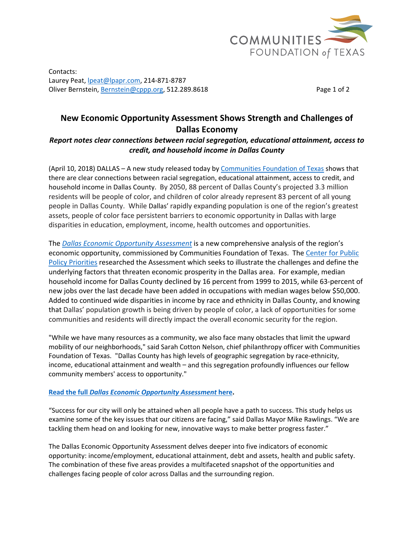

Contacts: Laurey Peat, lpeat@lpapr.com, 214-871-8787 Oliver Bernstein, Bernstein@cppp.org, 512.289.8618 Page 1 of 2

## **New Economic Opportunity Assessment Shows Strength and Challenges of Dallas Economy**

## *Report notes clear connections between racial segregation, educational attainment, access to credit, and household income in Dallas County*

(April 10, 2018) DALLAS – A new study released today by [Communities](www.cftexas.org) Foundation of Texas shows that there are clear connections between racial segregation, educational attainment, access to credit, and household income in Dallas County. By 2050, 88 percent of Dallas County's projected 3.3 million residents will be people of color, and children of color already represent 83 percent of all young people in Dallas County. While Dallas' rapidly expanding population is one of the region's greatest assets, people of color face persistent barriers to economic opportunity in Dallas with large disparities in education, employment, income, health outcomes and opportunities.

The *Dallas Economic [Opportunity](https://www.cftexas.org/file/Dallas_Economic_Opportunity_Assessment2018.pdf) Assessment* is a new comprehensive analysis of the region's economic opportunity, commissioned by Communities Foundation of Texas. The [Center](https://forabettertexas.org/) for Public Policy [Priorities](https://forabettertexas.org/) researched the Assessment which seeks to illustrate the challenges and define the underlying factors that threaten economic prosperity in the Dallas area. For example, median household income for Dallas County declined by 16 percent from 1999 to 2015, while 63-percent of new jobs over the last decade have been added in occupations with median wages below \$50,000. Added to continued wide disparities in income by race and ethnicity in Dallas County, and knowing that Dallas' population growth is being driven by people of color, a lack of opportunities for some communities and residents will directly impact the overall economic security for the region.

"While we have many resources as a community, we also face many obstacles that limit the upward mobility of our neighborhoods," said Sarah Cotton Nelson, chief philanthropy officer with Communities Foundation of Texas. "Dallas County has high levels of geographic segregation by race‐ethnicity, income, educational attainment and wealth – and this segregation profoundly influences our fellow community members' access to opportunity."

## **Read the full** *Dallas Economic [Opportunity](https://www.cftexas.org/file/Dallas_Economic_Opportunity_Assessment2018.pdf) Assessment* **here.**

"Success for our city will only be attained when all people have a path to success. This study helps us examine some of the key issues that our citizens are facing," said Dallas Mayor Mike Rawlings. "We are tackling them head on and looking for new, innovative ways to make better progress faster."

The Dallas Economic Opportunity Assessment delves deeper into five indicators of economic opportunity: income/employment, educational attainment, debt and assets, health and public safety. The combination of these five areas provides a multifaceted snapshot of the opportunities and challenges facing people of color across Dallas and the surrounding region.